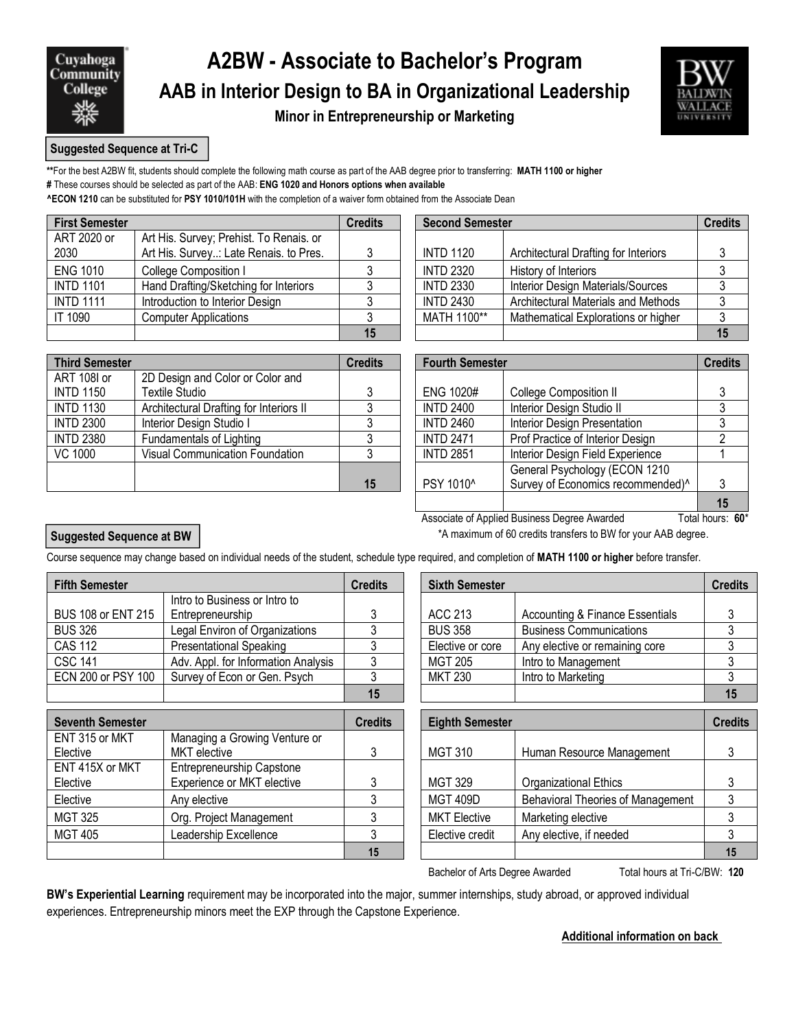Cuyahoga Community **College** 

# **A2BW - Associate to Bachelor's Program AAB in Interior Design to BA in Organizational Leadership**

**Minor in Entrepreneurship or Marketing**



#### **Suggested Sequence at Tri-C**

**\*\***For the best A2BW fit, students should complete the following math course as part of the AAB degree prior to transferring: **MATH 1100 or higher**

**#** These courses should be selected as part of the AAB: **ENG 1020 and Honors options when available**

**^ECON 1210** can be substituted for **PSY 1010/101H** with the completion of a waiver form obtained from the Associate Dean

| <b>First Semester</b> |                                                                                   | <b>Credits</b> | <b>Second Semester</b> |                                          | <b>Credits</b> |  |
|-----------------------|-----------------------------------------------------------------------------------|----------------|------------------------|------------------------------------------|----------------|--|
| ART 2020 or<br>2030   | Art His. Survey; Prehist. To Renais. or<br>Art His. Survey: Late Renais. to Pres. |                | <b>INTD 1120</b>       | Architectural Drafting for Interiors     |                |  |
| <b>ENG 1010</b>       | College Composition I                                                             |                | <b>INTD 2320</b>       | History of Interiors                     |                |  |
| <b>INTD 1101</b>      | Hand Drafting/Sketching for Interiors                                             |                | <b>INTD 2330</b>       | <b>Interior Design Materials/Sources</b> |                |  |
| <b>INTD 1111</b>      | Introduction to Interior Design                                                   |                | <b>INTD 2430</b>       | Architectural Materials and Methods      |                |  |
| IT 1090               | <b>Computer Applications</b>                                                      |                | MATH 1100**            | Mathematical Explorations or higher      |                |  |
|                       |                                                                                   | 15             |                        |                                          |                |  |

| <b>Third Semester</b> |                                         | <b>Credits</b> | <b>Fourth Semester</b> |                                               | <b>Credits</b> |  |
|-----------------------|-----------------------------------------|----------------|------------------------|-----------------------------------------------|----------------|--|
| ART 108I or           | 2D Design and Color or Color and        |                |                        |                                               |                |  |
| <b>INTD 1150</b>      | Textile Studio                          |                | ENG 1020#              | <b>College Composition II</b>                 |                |  |
| <b>INTD 1130</b>      | Architectural Drafting for Interiors II |                | <b>INTD 2400</b>       | Interior Design Studio II                     |                |  |
| <b>INTD 2300</b>      | Interior Design Studio I                |                | <b>INTD 2460</b>       | Interior Design Presentation                  |                |  |
| <b>INTD 2380</b>      | Fundamentals of Lighting                |                | <b>INTD 2471</b>       | Prof Practice of Interior Design              |                |  |
| VC 1000               | <b>Visual Communication Foundation</b>  |                | <b>INTD 2851</b>       | Interior Design Field Experience              |                |  |
|                       |                                         |                |                        | General Psychology (ECON 1210                 |                |  |
|                       |                                         | 15             | PSY 1010 <sup>^</sup>  | Survey of Economics recommended) <sup>^</sup> |                |  |

|                                                                                   | <b>Credits</b> | <b>Second Semester</b> |                                      | <b>Credits</b> |
|-----------------------------------------------------------------------------------|----------------|------------------------|--------------------------------------|----------------|
| Art His. Survey; Prehist. To Renais. or<br>Art His. Survey: Late Renais. to Pres. |                | <b>INTD 1120</b>       | Architectural Drafting for Interiors |                |
| College Composition I                                                             |                | <b>INTD 2320</b>       | History of Interiors                 |                |
| Hand Drafting/Sketching for Interiors                                             |                | <b>INTD 2330</b>       | Interior Design Materials/Sources    |                |
| Introduction to Interior Design                                                   |                | <b>INTD 2430</b>       | Architectural Materials and Methods  |                |
| <b>Computer Applications</b>                                                      |                | MATH 1100**            | Mathematical Explorations or higher  |                |
|                                                                                   | 15             |                        |                                      | 15             |

|                                         | <b>Credits</b> | <b>Fourth Semester</b> |                                               | <b>Credits</b>   |  |  |
|-----------------------------------------|----------------|------------------------|-----------------------------------------------|------------------|--|--|
| 2D Design and Color or Color and        |                |                        |                                               |                  |  |  |
| Textile Studio                          |                | <b>ENG 1020#</b>       | <b>College Composition II</b>                 |                  |  |  |
| Architectural Drafting for Interiors II |                | <b>INTD 2400</b>       | Interior Design Studio II                     |                  |  |  |
| Interior Design Studio I                |                | <b>INTD 2460</b>       | Interior Design Presentation                  |                  |  |  |
| <b>Fundamentals of Lighting</b>         |                | <b>INTD 2471</b>       | Prof Practice of Interior Design              |                  |  |  |
| Visual Communication Foundation         |                | <b>INTD 2851</b>       | Interior Design Field Experience              |                  |  |  |
|                                         |                |                        | General Psychology (ECON 1210                 |                  |  |  |
|                                         | 15             | PSY 1010 <sup>^</sup>  | Survey of Economics recommended) <sup>^</sup> |                  |  |  |
|                                         |                |                        |                                               | 15               |  |  |
|                                         |                |                        | Associate of Applied Business Degree Awarded  | Total hours: 60* |  |  |

\*A maximum of 60 credits transfers to BW for your AAB degree.

### **Suggested Sequence at BW**

Course sequence may change based on individual needs of the student, schedule type required, and completion of **MATH 1100 or higher** before transfer.

| <b>Fifth Semester</b> | <b>Credits</b>                      | <b>Sixth Semester</b> |                  | <b>Credits</b>                             |                 |
|-----------------------|-------------------------------------|-----------------------|------------------|--------------------------------------------|-----------------|
|                       | Intro to Business or Intro to       |                       |                  |                                            |                 |
| BUS 108 or ENT 215    | Entrepreneurship                    |                       | ACC 213          | <b>Accounting &amp; Finance Essentials</b> |                 |
| <b>BUS 326</b>        | Legal Environ of Organizations      |                       | <b>BUS 358</b>   | <b>Business Communications</b>             |                 |
| <b>CAS 112</b>        | <b>Presentational Speaking</b>      |                       | Elective or core | Any elective or remaining core             |                 |
| <b>CSC 141</b>        | Adv. Appl. for Information Analysis |                       | MGT 205          | Intro to Management                        |                 |
| ECN 200 or PSY 100    | Survey of Econ or Gen. Psych        |                       | MKT 230          | Intro to Marketing                         |                 |
|                       |                                     | $\overline{AB}$       |                  |                                            | $\overline{AB}$ |

| <b>Seventh Semester</b>     |                                                                | <b>Credits</b> | <b>Eighth Semester</b> |                     |                                          | <b>Credits</b> |
|-----------------------------|----------------------------------------------------------------|----------------|------------------------|---------------------|------------------------------------------|----------------|
| ENT 315 or MKT<br>Elective  | Managing a Growing Venture or<br>MKT elective                  |                |                        | <b>MGT 310</b>      | Human Resource Management                |                |
| ENT 415X or MKT<br>Elective | <b>Entrepreneurship Capstone</b><br>Experience or MKT elective |                |                        | <b>MGT 329</b>      | Organizational Ethics                    |                |
| Elective                    | Any elective                                                   |                |                        | <b>MGT 409D</b>     | <b>Behavioral Theories of Management</b> |                |
| <b>MGT 325</b>              | Org. Project Management                                        |                |                        | <b>MKT Elective</b> | Marketing elective                       |                |
| <b>MGT 405</b>              | Leadership Excellence                                          |                |                        | Elective credit     | Any elective, if needed                  |                |
|                             |                                                                | 15             |                        |                     |                                          | 15             |

|                                     | <b>Credits</b> | <b>Sixth Semester</b> |                                            |    |  |
|-------------------------------------|----------------|-----------------------|--------------------------------------------|----|--|
| Intro to Business or Intro to       |                |                       |                                            |    |  |
| Entrepreneurship                    |                | ACC 213               | <b>Accounting &amp; Finance Essentials</b> |    |  |
| Legal Environ of Organizations      |                | <b>BUS 358</b>        | <b>Business Communications</b>             |    |  |
| <b>Presentational Speaking</b>      |                | Elective or core      | Any elective or remaining core             |    |  |
| Adv. Appl. for Information Analysis |                | MGT 205               | Intro to Management                        |    |  |
| Survey of Econ or Gen. Psych        |                | <b>MKT 230</b>        | Intro to Marketing                         |    |  |
|                                     | 15             |                       |                                            | 15 |  |

|                                                                | <b>Credits</b> |                     | <b>Eighth Semester</b>                   |    |  |  |
|----------------------------------------------------------------|----------------|---------------------|------------------------------------------|----|--|--|
| Managing a Growing Venture or<br>MKT elective                  | 3              | <b>MGT 310</b>      | Human Resource Management                |    |  |  |
| <b>Entrepreneurship Capstone</b><br>Experience or MKT elective |                | <b>MGT 329</b>      | Organizational Ethics                    |    |  |  |
| Any elective                                                   |                | <b>MGT 409D</b>     | <b>Behavioral Theories of Management</b> |    |  |  |
| Org. Project Management                                        |                | <b>MKT</b> Elective | Marketing elective                       |    |  |  |
| Leadership Excellence                                          |                | Elective credit     | Any elective, if needed                  |    |  |  |
|                                                                | 15             |                     |                                          | 15 |  |  |

Bachelor of Arts Degree Awarded Total hours at Tri-C/BW: 120

**BW's Experiential Learning** requirement may be incorporated into the major, summer internships, study abroad, or approved individual experiences. Entrepreneurship minors meet the EXP through the Capstone Experience.

### **Additional information on back**